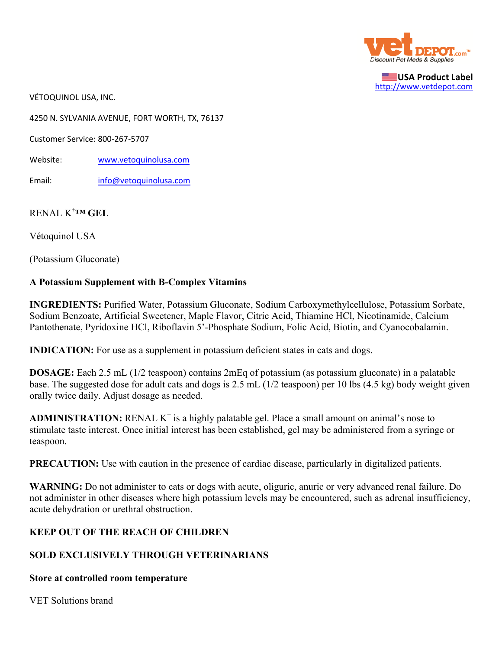

**USA Product Label** http://www.vetdepot.com

VÉTOQUINOL USA, INC.

4250 N. SYLVANIA AVENUE, FORT WORTH, TX, 76137

Customer Service: 800‐267‐5707

Website: www.vetoquinolusa.com

Email: info@vetoquinolusa.com

# RENAL K+ **™ GEL**

Vétoquinol USA

(Potassium Gluconate)

#### **A Potassium Supplement with B-Complex Vitamins**

**INGREDIENTS:** Purified Water, Potassium Gluconate, Sodium Carboxymethylcellulose, Potassium Sorbate, Sodium Benzoate, Artificial Sweetener, Maple Flavor, Citric Acid, Thiamine HCl, Nicotinamide, Calcium Pantothenate, Pyridoxine HCl, Riboflavin 5'-Phosphate Sodium, Folic Acid, Biotin, and Cyanocobalamin.

**INDICATION:** For use as a supplement in potassium deficient states in cats and dogs.

**DOSAGE:** Each 2.5 mL (1/2 teaspoon) contains 2mEq of potassium (as potassium gluconate) in a palatable base. The suggested dose for adult cats and dogs is 2.5 mL (1/2 teaspoon) per 10 lbs (4.5 kg) body weight given orally twice daily. Adjust dosage as needed.

ADMINISTRATION: RENAL K<sup>+</sup> is a highly palatable gel. Place a small amount on animal's nose to stimulate taste interest. Once initial interest has been established, gel may be administered from a syringe or teaspoon.

**PRECAUTION:** Use with caution in the presence of cardiac disease, particularly in digitalized patients.

**WARNING:** Do not administer to cats or dogs with acute, oliguric, anuric or very advanced renal failure. Do not administer in other diseases where high potassium levels may be encountered, such as adrenal insufficiency, acute dehydration or urethral obstruction.

## **KEEP OUT OF THE REACH OF CHILDREN**

## **SOLD EXCLUSIVELY THROUGH VETERINARIANS**

#### **Store at controlled room temperature**

VET Solutions brand